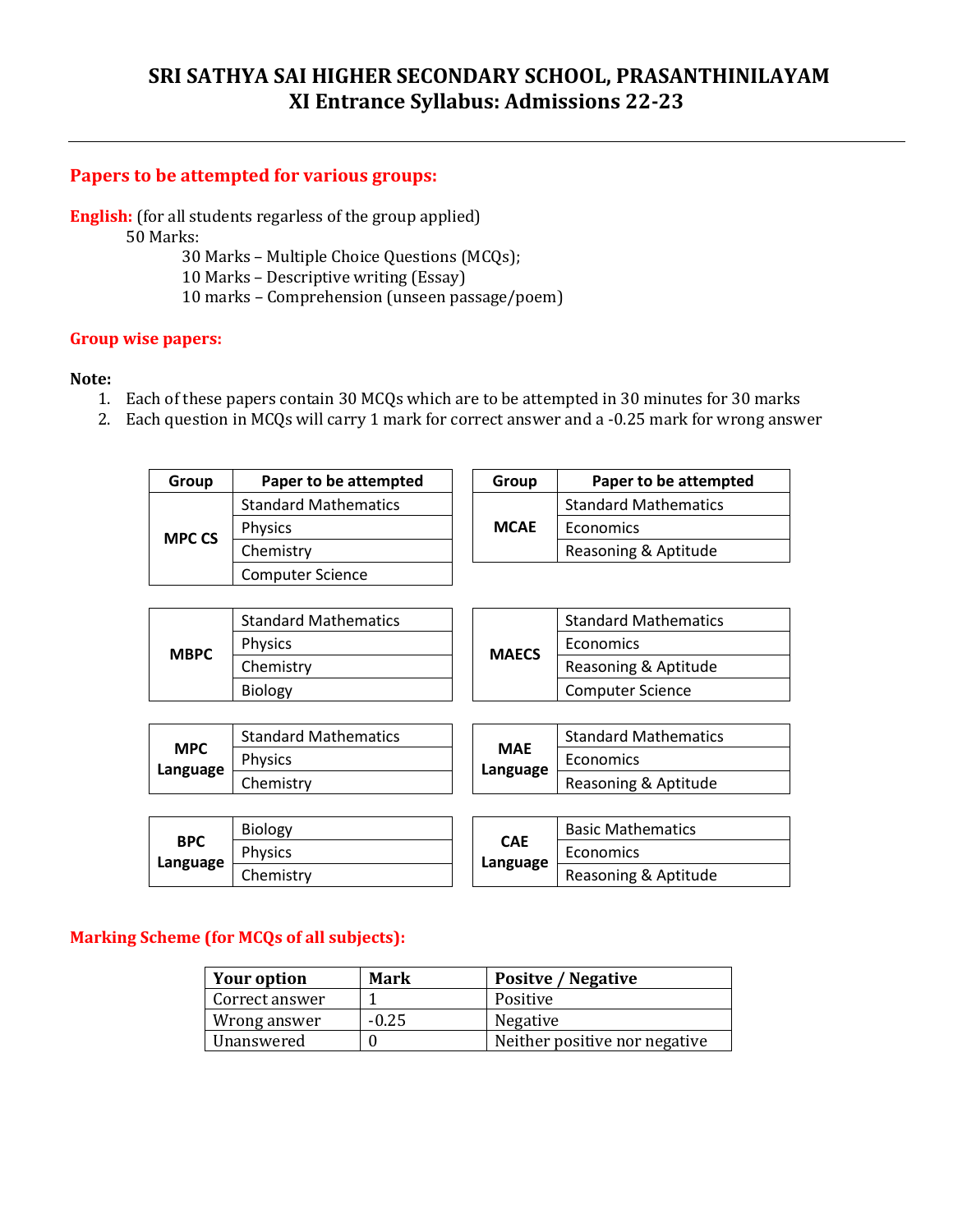# **SRI SATHYA SAI HIGHER SECONDARY SCHOOL, PRASANTHINILAYAM XI Entrance Syllabus: Admissions 22-23**

#### **Papers to be attempted for various groups:**

**English:** (for all students regarless of the group applied)

50 Marks:

- 30 Marks Multiple Choice Questions (MCQs);
- 10 Marks Descriptive writing (Essay)
- 10 marks Comprehension (unseen passage/poem)

#### **Group wise papers:**

#### **Note:**

- 1. Each of these papers contain 30 MCQs which are to be attempted in 30 minutes for 30 marks
- 2. Each question in MCQs will carry 1 mark for correct answer and a -0.25 mark for wrong answer

| Group         | Paper to be attempted       |  | Group       | Paper to be attempted       |
|---------------|-----------------------------|--|-------------|-----------------------------|
|               | <b>Standard Mathematics</b> |  |             | <b>Standard Mathematics</b> |
| <b>MPC CS</b> | <b>Physics</b>              |  | <b>MCAE</b> | Economics                   |
|               | Chemistry                   |  |             | Reasoning & Aptitude        |
|               | <b>Computer Science</b>     |  |             |                             |

| <b>MBPC</b> | <b>Standard Mathematics</b> |              |                      | <b>Standard Mathematics</b> |
|-------------|-----------------------------|--------------|----------------------|-----------------------------|
|             | <b>Physics</b>              |              |                      | Economics                   |
|             | Chemistrv                   | <b>MAECS</b> | Reasoning & Aptitude |                             |
|             | <b>Biology</b>              |              |                      | <b>Computer Science</b>     |
|             |                             |              |                      |                             |

|                        | <b>Standard Mathematics</b> |            |          | <b>Standard Mathematics</b> |
|------------------------|-----------------------------|------------|----------|-----------------------------|
| <b>MPC</b><br>Language | <b>Physics</b>              | <b>MAE</b> |          | Economics                   |
|                        | Chemistrv                   |            | Language | Reasoning & Aptitude        |

|                        | <b>Biology</b> |            | <b>Basic Mathematics</b> |
|------------------------|----------------|------------|--------------------------|
| <b>BPC</b><br>Language | <b>Physics</b> | <b>CAE</b> | Economics                |
|                        | Chemistrv      | Language   | Reasoning & Aptitude     |

|                        | <b>Basic Mathematics</b> |  |  |
|------------------------|--------------------------|--|--|
| <b>CAE</b><br>Language | Economics                |  |  |
|                        | Reasoning & Aptitude     |  |  |

### **Marking Scheme (for MCQs of all subjects):**

| <b>Your option</b> | Mark    | <b>Positve / Negative</b>     |
|--------------------|---------|-------------------------------|
| Correct answer     |         | Positive                      |
| Wrong answer       | $-0.25$ | Negative                      |
| Unanswered         |         | Neither positive nor negative |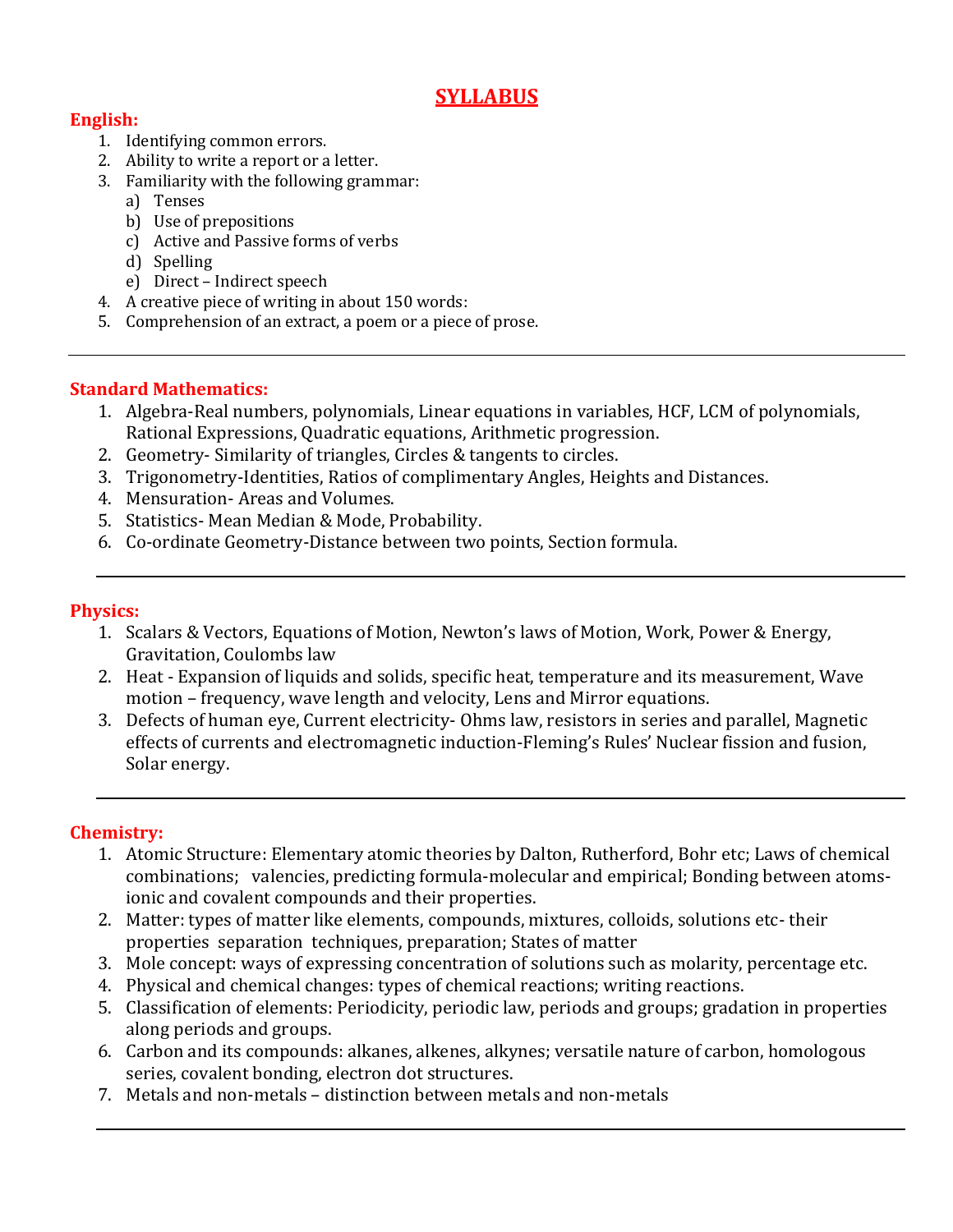# **SYLLABUS**

## **English:**

- 1. Identifying common errors.
- 2. Ability to write a report or a letter.
- 3. Familiarity with the following grammar:
	- a) Tenses
	- b) Use of prepositions
	- c) Active and Passive forms of verbs
	- d) Spelling
	- e) Direct Indirect speech
- 4. A creative piece of writing in about 150 words:
- 5. Comprehension of an extract, a poem or a piece of prose.

### **Standard Mathematics:**

- 1. Algebra-Real numbers, polynomials, Linear equations in variables, HCF, LCM of polynomials, Rational Expressions, Quadratic equations, Arithmetic progression.
- 2. Geometry- Similarity of triangles, Circles & tangents to circles.
- 3. Trigonometry-Identities, Ratios of complimentary Angles, Heights and Distances.
- 4. Mensuration- Areas and Volumes.
- 5. Statistics- Mean Median & Mode, Probability.
- 6. Co-ordinate Geometry-Distance between two points, Section formula.

#### **Physics:**

- 1. Scalars & Vectors, Equations of Motion, Newton's laws of Motion, Work, Power & Energy, Gravitation, Coulombs law
- 2. Heat Expansion of liquids and solids, specific heat, temperature and its measurement, Wave motion – frequency, wave length and velocity, Lens and Mirror equations.
- 3. Defects of human eye, Current electricity- Ohms law, resistors in series and parallel, Magnetic effects of currents and electromagnetic induction-Fleming's Rules' Nuclear fission and fusion, Solar energy.

### **Chemistry:**

- 1. Atomic Structure: Elementary atomic theories by Dalton, Rutherford, Bohr etc; Laws of chemical combinations; valencies, predicting formula-molecular and empirical; Bonding between atomsionic and covalent compounds and their properties.
- 2. Matter: types of matter like elements, compounds, mixtures, colloids, solutions etc- their properties separation techniques, preparation; States of matter
- 3. Mole concept: ways of expressing concentration of solutions such as molarity, percentage etc.
- 4. Physical and chemical changes: types of chemical reactions; writing reactions.
- 5. Classification of elements: Periodicity, periodic law, periods and groups; gradation in properties along periods and groups.
- 6. Carbon and its compounds: alkanes, alkenes, alkynes; versatile nature of carbon, homologous series, covalent bonding, electron dot structures.
- 7. Metals and non-metals distinction between metals and non-metals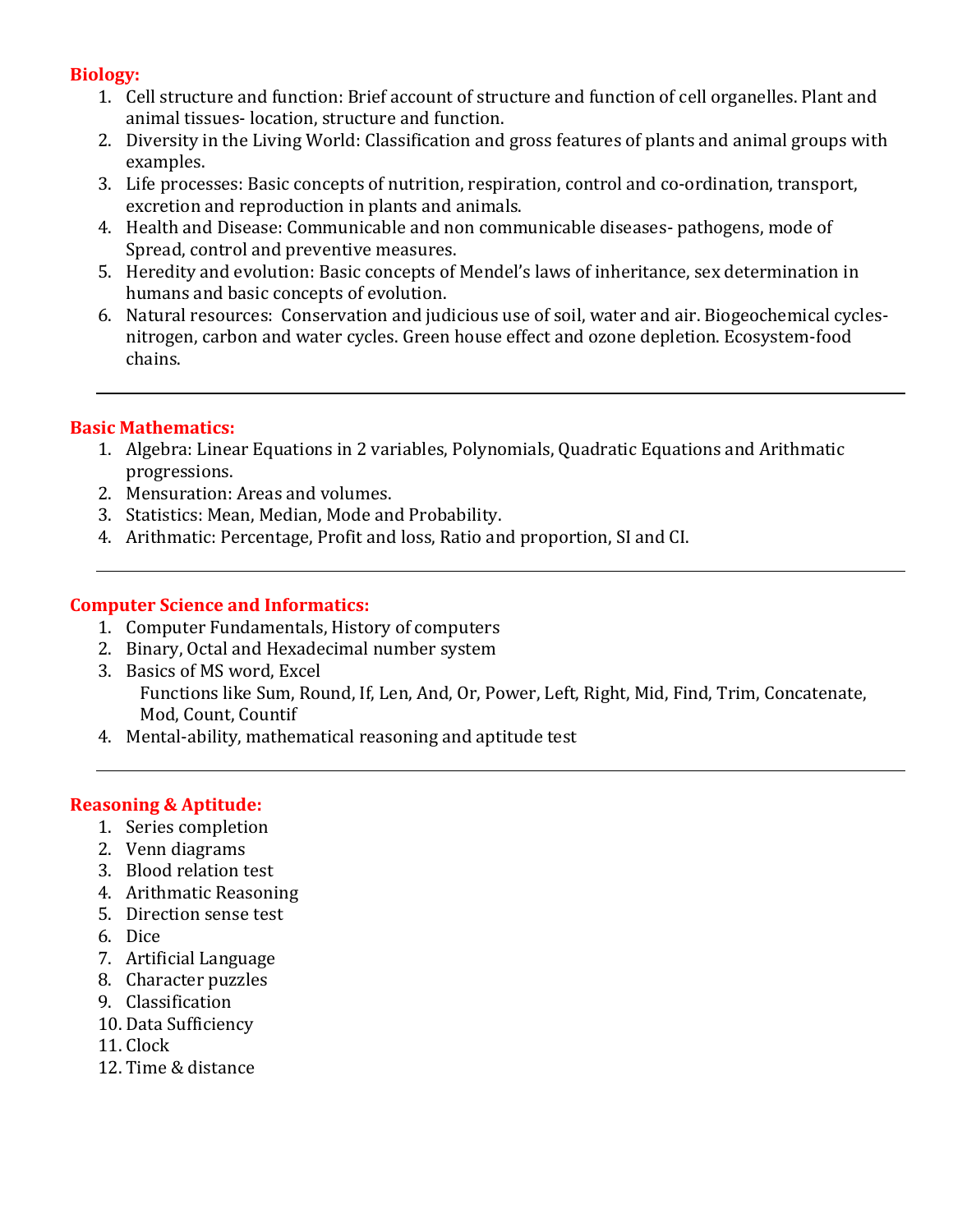## **Biology:**

- 1. Cell structure and function: Brief account of structure and function of cell organelles. Plant and animal tissues- location, structure and function.
- 2. Diversity in the Living World: Classification and gross features of plants and animal groups with examples.
- 3. Life processes: Basic concepts of nutrition, respiration, control and co-ordination, transport, excretion and reproduction in plants and animals.
- 4. Health and Disease: Communicable and non communicable diseases- pathogens, mode of Spread, control and preventive measures.
- 5. Heredity and evolution: Basic concepts of Mendel's laws of inheritance, sex determination in humans and basic concepts of evolution.
- 6. Natural resources: Conservation and judicious use of soil, water and air. Biogeochemical cyclesnitrogen, carbon and water cycles. Green house effect and ozone depletion. Ecosystem-food chains.

## **Basic Mathematics:**

- 1. Algebra: Linear Equations in 2 variables, Polynomials, Quadratic Equations and Arithmatic progressions.
- 2. Mensuration: Areas and volumes.
- 3. Statistics: Mean, Median, Mode and Probability.
- 4. Arithmatic: Percentage, Profit and loss, Ratio and proportion, SI and CI.

### **Computer Science and Informatics:**

- 1. Computer Fundamentals, History of computers
- 2. Binary, Octal and Hexadecimal number system
- 3. Basics of MS word, Excel Functions like Sum, Round, If, Len, And, Or, Power, Left, Right, Mid, Find, Trim, Concatenate, Mod, Count, Countif
- 4. Mental-ability, mathematical reasoning and aptitude test

### **Reasoning & Aptitude:**

- 1. Series completion
- 2. Venn diagrams
- 3. Blood relation test
- 4. Arithmatic Reasoning
- 5. Direction sense test
- 6. Dice
- 7. Artificial Language
- 8. Character puzzles
- 9. Classification
- 10. Data Sufficiency
- 11. Clock
- 12. Time & distance